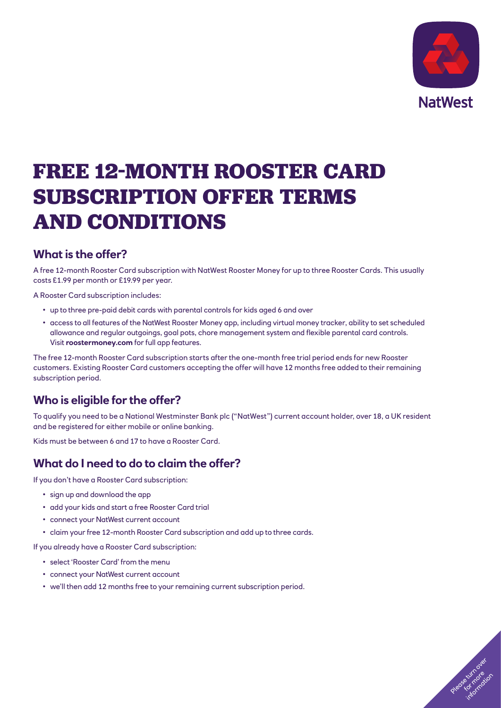

# **FREE 12-MONTH ROOSTER CARD SUBSCRIPTION OFFER TERMS AND CONDITIONS**

### **What is the offer?**

A free 12-month Rooster Card subscription with NatWest Rooster Money for up to three Rooster Cards. This usually costs £1.99 per month or £19.99 per year.

A Rooster Card subscription includes:

- up to three pre-paid debit cards with parental controls for kids aged 6 and over
- access to all features of the NatWest Rooster Money app, including virtual money tracker, ability to set scheduled allowance and regular outgoings, goal pots, chore management system and flexible parental card controls. Visit **[roostermoney.com](https://roostermoney.com/gb/)** for full app features.

The free 12-month Rooster Card subscription starts after the one-month free trial period ends for new Rooster customers. Existing Rooster Card customers accepting the offer will have 12 months free added to their remaining subscription period.

## **Who is eligible for the offer?**

To qualify you need to be a National Westminster Bank plc ("NatWest") current account holder, over 18, a UK resident and be registered for either mobile or online banking.

Kids must be between 6 and 17 to have a Rooster Card.

### **What do I need to do to claim the offer?**

If you don't have a Rooster Card subscription:

- sign up and download the app
- add your kids and start a free Rooster Card trial
- connect your NatWest current account
- claim your free 12-month Rooster Card subscription and add up to three cards.

If you already have a Rooster Card subscription:

- select 'Rooster Card' from the menu
- connect your NatWest current account
- we'll then add 12 months free to your remaining current subscription period.